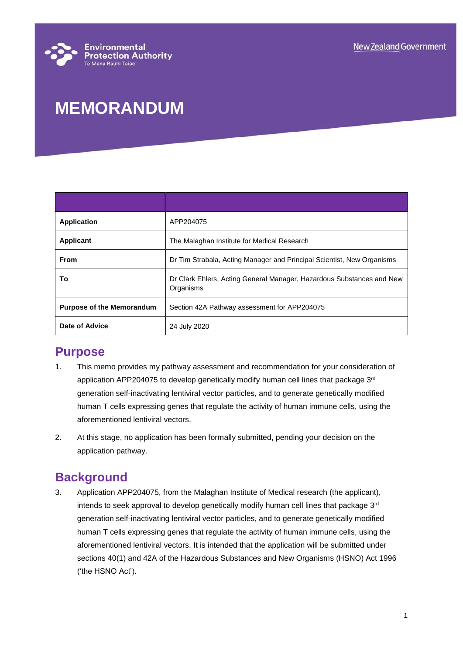# **MEMORANDUM**

| <b>Application</b>               | APP204075                                                                          |
|----------------------------------|------------------------------------------------------------------------------------|
| <b>Applicant</b>                 | The Malaghan Institute for Medical Research                                        |
| <b>From</b>                      | Dr Tim Strabala, Acting Manager and Principal Scientist, New Organisms             |
| To                               | Dr Clark Ehlers, Acting General Manager, Hazardous Substances and New<br>Organisms |
| <b>Purpose of the Memorandum</b> | Section 42A Pathway assessment for APP204075                                       |
| Date of Advice                   | 24 July 2020                                                                       |

### **Purpose**

- 1. This memo provides my pathway assessment and recommendation for your consideration of application APP204075 to develop genetically modify human cell lines that package 3rd generation self-inactivating lentiviral vector particles, and to generate genetically modified human T cells expressing genes that regulate the activity of human immune cells, using the aforementioned lentiviral vectors.
- 2. At this stage, no application has been formally submitted, pending your decision on the application pathway.

## **Background**

3. Application APP204075, from the Malaghan Institute of Medical research (the applicant), intends to seek approval to develop genetically modify human cell lines that package 3rd generation self-inactivating lentiviral vector particles, and to generate genetically modified human T cells expressing genes that regulate the activity of human immune cells, using the aforementioned lentiviral vectors. It is intended that the application will be submitted under sections 40(1) and 42A of the Hazardous Substances and New Organisms (HSNO) Act 1996 ('the HSNO Act').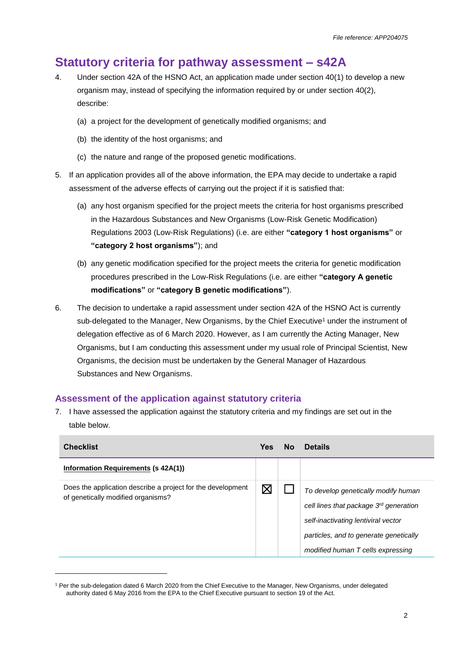# **Statutory criteria for pathway assessment – s42A**

- 4. Under section 42A of the HSNO Act, an application made under section 40(1) to develop a new organism may, instead of specifying the information required by or under section 40(2), describe:
	- (a) a project for the development of genetically modified organisms; and
	- (b) the identity of the host organisms; and
	- (c) the nature and range of the proposed genetic modifications.
- 5. If an application provides all of the above information, the EPA may decide to undertake a rapid assessment of the adverse effects of carrying out the project if it is satisfied that:
	- (a) any host organism specified for the project meets the criteria for host organisms prescribed in the Hazardous Substances and New Organisms (Low-Risk Genetic Modification) Regulations 2003 (Low-Risk Regulations) (i.e. are either **"category 1 host organisms"** or **"category 2 host organisms"**); and
	- (b) any genetic modification specified for the project meets the criteria for genetic modification procedures prescribed in the Low-Risk Regulations (i.e. are either **"category A genetic modifications"** or **"category B genetic modifications"**).
- 6. The decision to undertake a rapid assessment under section 42A of the HSNO Act is currently sub-delegated to the Manager, New Organisms, by the Chief Executive<sup>1</sup> under the instrument of delegation effective as of 6 March 2020. However, as I am currently the Acting Manager, New Organisms, but I am conducting this assessment under my usual role of Principal Scientist, New Organisms, the decision must be undertaken by the General Manager of Hazardous Substances and New Organisms.

### **Assessment of the application against statutory criteria**

l

7. I have assessed the application against the statutory criteria and my findings are set out in the table below.

| <b>Checklist</b>                                                                                  | <b>Yes</b> | <b>No</b> | <b>Details</b>                                                                                                                                                                                                  |
|---------------------------------------------------------------------------------------------------|------------|-----------|-----------------------------------------------------------------------------------------------------------------------------------------------------------------------------------------------------------------|
| Information Requirements (s 42A(1))                                                               |            |           |                                                                                                                                                                                                                 |
| Does the application describe a project for the development<br>of genetically modified organisms? |            |           | To develop genetically modify human<br>cell lines that package 3 <sup>rd</sup> generation<br>self-inactivating lentiviral vector<br>particles, and to generate genetically<br>modified human T cells expressing |

<sup>1</sup> Per the sub-delegation dated 6 March 2020 from the Chief Executive to the Manager, New Organisms, under delegated authority dated 6 May 2016 from the EPA to the Chief Executive pursuant to section 19 of the Act.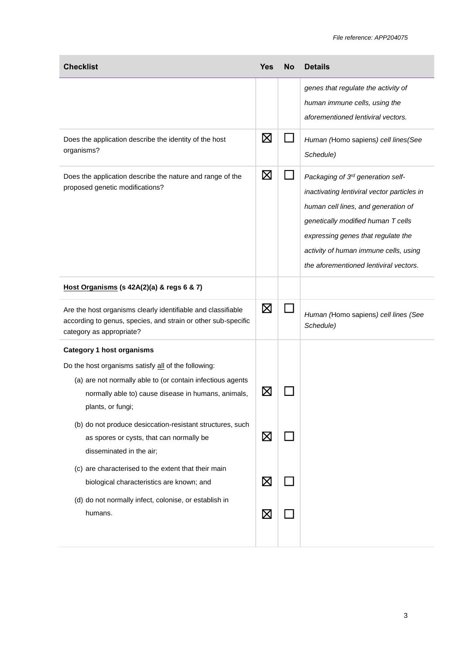| <b>Checklist</b>                                                                                                                                                                              | <b>Yes</b>  | <b>No</b> | <b>Details</b>                                                                                                                                                                                                                                                                         |
|-----------------------------------------------------------------------------------------------------------------------------------------------------------------------------------------------|-------------|-----------|----------------------------------------------------------------------------------------------------------------------------------------------------------------------------------------------------------------------------------------------------------------------------------------|
|                                                                                                                                                                                               |             |           | genes that regulate the activity of<br>human immune cells, using the<br>aforementioned lentiviral vectors.                                                                                                                                                                             |
| Does the application describe the identity of the host<br>organisms?                                                                                                                          | ⊠           |           | Human (Homo sapiens) cell lines (See<br>Schedule)                                                                                                                                                                                                                                      |
| Does the application describe the nature and range of the<br>proposed genetic modifications?                                                                                                  | $\boxtimes$ |           | Packaging of 3rd generation self-<br>inactivating lentiviral vector particles in<br>human cell lines, and generation of<br>genetically modified human T cells<br>expressing genes that regulate the<br>activity of human immune cells, using<br>the aforementioned lentiviral vectors. |
| Host Organisms (s 42A(2)(a) & regs 6 & 7)                                                                                                                                                     |             |           |                                                                                                                                                                                                                                                                                        |
| Are the host organisms clearly identifiable and classifiable<br>according to genus, species, and strain or other sub-specific<br>category as appropriate?                                     | $\boxtimes$ |           | Human (Homo sapiens) cell lines (See<br>Schedule)                                                                                                                                                                                                                                      |
| <b>Category 1 host organisms</b>                                                                                                                                                              |             |           |                                                                                                                                                                                                                                                                                        |
| Do the host organisms satisfy all of the following:<br>(a) are not normally able to (or contain infectious agents<br>normally able to) cause disease in humans, animals,<br>plants, or fungi; | IX          |           |                                                                                                                                                                                                                                                                                        |
| (b) do not produce desiccation-resistant structures, such<br>as spores or cysts, that can normally be<br>disseminated in the air;                                                             | $\boxtimes$ |           |                                                                                                                                                                                                                                                                                        |
| (c) are characterised to the extent that their main<br>biological characteristics are known; and                                                                                              | $\boxtimes$ |           |                                                                                                                                                                                                                                                                                        |
| (d) do not normally infect, colonise, or establish in<br>humans.                                                                                                                              | ⊠           |           |                                                                                                                                                                                                                                                                                        |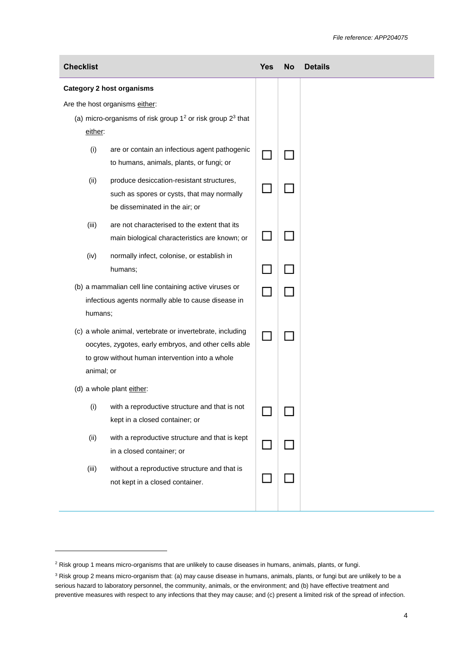| <b>Checklist</b>                                                                                                                                                                    |                                                                                                                           | <b>Yes</b> | <b>No</b> | <b>Details</b> |
|-------------------------------------------------------------------------------------------------------------------------------------------------------------------------------------|---------------------------------------------------------------------------------------------------------------------------|------------|-----------|----------------|
|                                                                                                                                                                                     | <b>Category 2 host organisms</b>                                                                                          |            |           |                |
|                                                                                                                                                                                     | Are the host organisms either:                                                                                            |            |           |                |
|                                                                                                                                                                                     | (a) micro-organisms of risk group $12$ or risk group $23$ that                                                            |            |           |                |
| either:                                                                                                                                                                             |                                                                                                                           |            |           |                |
| (i)                                                                                                                                                                                 | are or contain an infectious agent pathogenic<br>to humans, animals, plants, or fungi; or                                 |            |           |                |
| (ii)                                                                                                                                                                                | produce desiccation-resistant structures,<br>such as spores or cysts, that may normally<br>be disseminated in the air; or |            |           |                |
| (iii)                                                                                                                                                                               | are not characterised to the extent that its<br>main biological characteristics are known; or                             |            |           |                |
| (iv)                                                                                                                                                                                | normally infect, colonise, or establish in<br>humans;                                                                     |            |           |                |
| (b) a mammalian cell line containing active viruses or<br>infectious agents normally able to cause disease in<br>humans;                                                            |                                                                                                                           |            |           |                |
| (c) a whole animal, vertebrate or invertebrate, including<br>oocytes, zygotes, early embryos, and other cells able<br>to grow without human intervention into a whole<br>animal; or |                                                                                                                           |            |           |                |
| (d) a whole plant either:                                                                                                                                                           |                                                                                                                           |            |           |                |
| (i)                                                                                                                                                                                 | with a reproductive structure and that is not<br>kept in a closed container; or                                           |            |           |                |
| (ii)                                                                                                                                                                                | with a reproductive structure and that is kept<br>in a closed container; or                                               |            |           |                |
| (iii)                                                                                                                                                                               | without a reproductive structure and that is<br>not kept in a closed container.                                           |            |           |                |
|                                                                                                                                                                                     |                                                                                                                           |            |           |                |

l

<sup>&</sup>lt;sup>2</sup> Risk group 1 means micro-organisms that are unlikely to cause diseases in humans, animals, plants, or fungi.

<sup>&</sup>lt;sup>3</sup> Risk group 2 means micro-organism that: (a) may cause disease in humans, animals, plants, or fungi but are unlikely to be a serious hazard to laboratory personnel, the community, animals, or the environment; and (b) have effective treatment and preventive measures with respect to any infections that they may cause; and (c) present a limited risk of the spread of infection.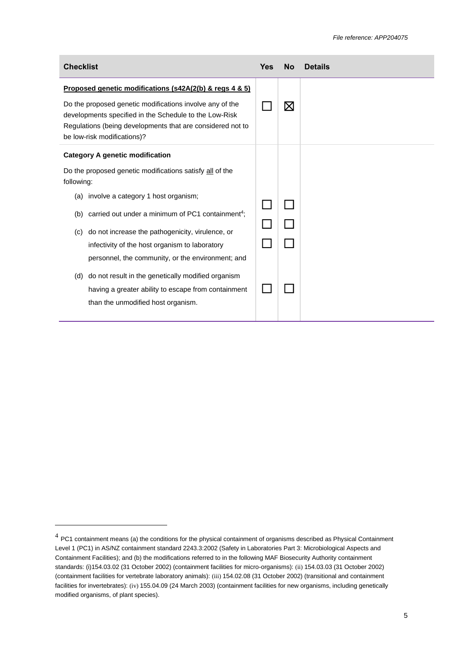| <b>Checklist</b>                                                                                                                                                                                                                                                                                                                                                                                                                                                                                                                                                | <b>Yes</b> | <b>No</b> | <b>Details</b> |
|-----------------------------------------------------------------------------------------------------------------------------------------------------------------------------------------------------------------------------------------------------------------------------------------------------------------------------------------------------------------------------------------------------------------------------------------------------------------------------------------------------------------------------------------------------------------|------------|-----------|----------------|
| Proposed genetic modifications (s42A(2(b) & regs 4 & 5)<br>Do the proposed genetic modifications involve any of the<br>developments specified in the Schedule to the Low-Risk<br>Regulations (being developments that are considered not to<br>be low-risk modifications)?                                                                                                                                                                                                                                                                                      |            | ⊠         |                |
| <b>Category A genetic modification</b><br>Do the proposed genetic modifications satisfy all of the<br>following:<br>(a) involve a category 1 host organism;<br>carried out under a minimum of PC1 containment <sup>4</sup> ;<br>(b)<br>do not increase the pathogenicity, virulence, or<br>(c)<br>infectivity of the host organism to laboratory<br>personnel, the community, or the environment; and<br>do not result in the genetically modified organism<br>(d)<br>having a greater ability to escape from containment<br>than the unmodified host organism. |            |           |                |

l

 $^4$  PC1 containment means (a) the conditions for the physical containment of organisms described as Physical Containment Level 1 (PC1) in AS/NZ containment standard 2243.3:2002 (Safety in Laboratories Part 3: Microbiological Aspects and Containment Facilities); and (b) the modifications referred to in the following MAF Biosecurity Authority containment standards: (i)154.03.02 (31 October 2002) (containment facilities for micro-organisms): (ii) 154.03.03 (31 October 2002) (containment facilities for vertebrate laboratory animals): (iii) 154.02.08 (31 October 2002) (transitional and containment facilities for invertebrates): (iv) 155.04.09 (24 March 2003) (containment facilities for new organisms, including genetically modified organisms, of plant species).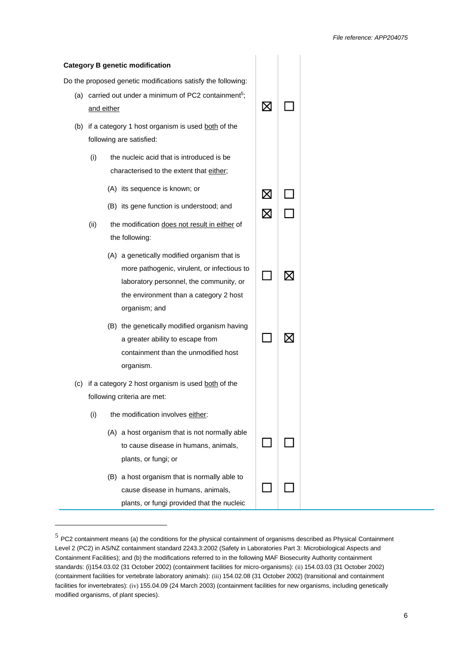|     |            |     | <b>Category B genetic modification</b>                                                                                                                                                           |             |           |  |
|-----|------------|-----|--------------------------------------------------------------------------------------------------------------------------------------------------------------------------------------------------|-------------|-----------|--|
|     |            |     | Do the proposed genetic modifications satisfy the following:                                                                                                                                     |             |           |  |
|     | and either |     | (a) carried out under a minimum of PC2 containment <sup>5</sup> ;                                                                                                                                | Х           |           |  |
|     |            |     | (b) if a category 1 host organism is used both of the<br>following are satisfied:                                                                                                                |             |           |  |
|     | (i)        |     | the nucleic acid that is introduced is be<br>characterised to the extent that either;                                                                                                            |             |           |  |
|     |            |     | (A) its sequence is known; or                                                                                                                                                                    | ⊠           |           |  |
|     |            |     | (B) its gene function is understood; and                                                                                                                                                         | $\boxtimes$ |           |  |
|     | (ii)       |     | the modification does not result in either of<br>the following:                                                                                                                                  |             |           |  |
|     |            |     | (A) a genetically modified organism that is<br>more pathogenic, virulent, or infectious to<br>laboratory personnel, the community, or<br>the environment than a category 2 host<br>organism; and |             | $\bowtie$ |  |
|     |            |     | (B) the genetically modified organism having<br>a greater ability to escape from<br>containment than the unmodified host<br>organism.                                                            |             |           |  |
| (C) |            |     | if a category 2 host organism is used both of the                                                                                                                                                |             |           |  |
|     |            |     | following criteria are met:                                                                                                                                                                      |             |           |  |
|     | (i)        |     | the modification involves either:                                                                                                                                                                |             |           |  |
|     |            |     | (A) a host organism that is not normally able<br>to cause disease in humans, animals,<br>plants, or fungi; or                                                                                    |             |           |  |
|     |            | (B) | a host organism that is normally able to<br>cause disease in humans, animals,<br>plants, or fungi provided that the nucleic                                                                      |             |           |  |

l

 $5$  PC2 containment means (a) the conditions for the physical containment of organisms described as Physical Containment Level 2 (PC2) in AS/NZ containment standard 2243.3:2002 (Safety in Laboratories Part 3: Microbiological Aspects and Containment Facilities); and (b) the modifications referred to in the following MAF Biosecurity Authority containment standards: (i)154.03.02 (31 October 2002) (containment facilities for micro-organisms): (ii) 154.03.03 (31 October 2002) (containment facilities for vertebrate laboratory animals): (iii) 154.02.08 (31 October 2002) (transitional and containment facilities for invertebrates): (iv) 155.04.09 (24 March 2003) (containment facilities for new organisms, including genetically modified organisms, of plant species).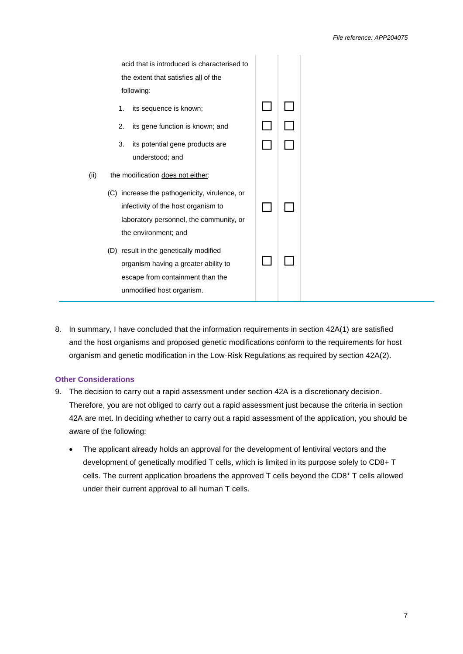| acid that is introduced is characterised to |  |
|---------------------------------------------|--|

8. In summary, I have concluded that the information requirements in section 42A(1) are satisfied and the host organisms and proposed genetic modifications conform to the requirements for host organism and genetic modification in the Low-Risk Regulations as required by section 42A(2).

#### **Other Considerations**

- 9. The decision to carry out a rapid assessment under section 42A is a discretionary decision. Therefore, you are not obliged to carry out a rapid assessment just because the criteria in section 42A are met. In deciding whether to carry out a rapid assessment of the application, you should be aware of the following:
	- The applicant already holds an approval for the development of lentiviral vectors and the development of genetically modified T cells, which is limited in its purpose solely to CD8+ T cells. The current application broadens the approved T cells beyond the CD8<sup>+</sup> T cells allowed under their current approval to all human T cells.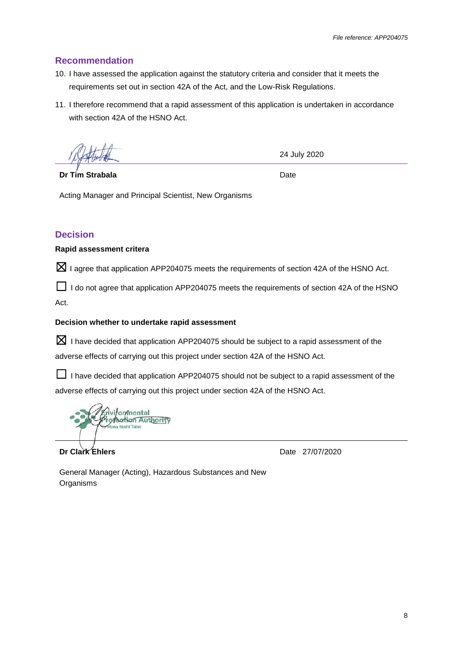### **Recommendation**

- 10. I have assessed the application against the statutory criteria and consider that it meets the requirements set out in section 42A of the Act, and the Low-Risk Regulations.
- 11. I therefore recommend that a rapid assessment of this application is undertaken in accordance with section 42A of the HSNO Act.

**Dr Tim Strabala**

24 July 2020

Date

Acting Manager and Principal Scientist, New Organisms

### **Decision**

#### **Rapid assessment critera**

 $\boxtimes$  I agree that application APP204075 meets the requirements of section 42A of the HSNO Act.

 $\Box$  I do not agree that application APP204075 meets the requirements of section 42A of the HSNO Act.

#### **Decision whether to undertake rapid assessment**

 $\boxtimes$  I have decided that application APP204075 should be subject to a rapid assessment of the adverse effects of carrying out this project under section 42A of the HSNO Act.

□ I have decided that application APP204075 should not be subject to a rapid assessment of the adverse effects of carrying out this project under section 42A of the HSNO Act.

.<br>nvi∤on⁄mental<br>ro∤ection Aut<u>h</u>ority

**Dr Clark Ehlers**

Date 27/07/2020

General Manager (Acting), Hazardous Substances and New **Organisms**